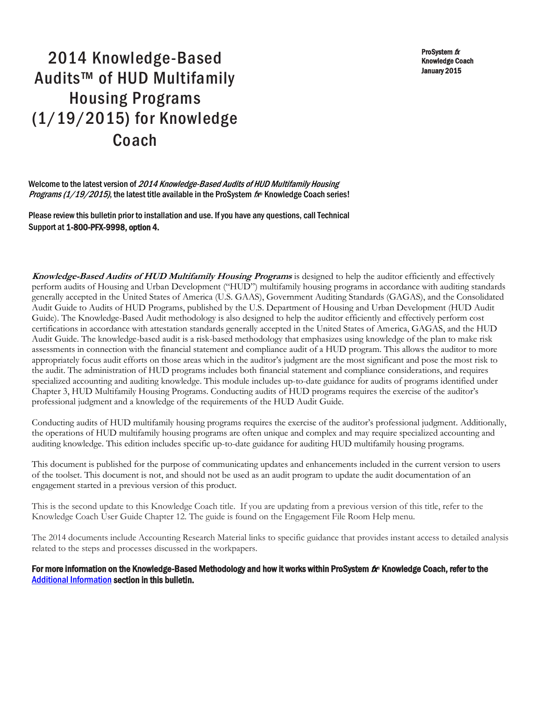ProSystem  $$ Knowledge Coach January 2015

# 2014 Knowledge-Based Audits™ of HUD Multifamily Housing Programs (1/19/2015) for Knowledge Coach

Welcome to the latest version of 2014 Knowledge-Based Audits of HUD Multifamily Housing Programs (1/19/2015), the latest title available in the ProSystem fx® Knowledge Coach series!

Please review this bulletin prior to installation and use. If you have any questions, call Technical Support at 1-800-PFX-9998, option 4.

**Knowledge-Based Audits of HUD Multifamily Housing Programs** is designed to help the auditor efficiently and effectively perform audits of Housing and Urban Development ("HUD") multifamily housing programs in accordance with auditing standards generally accepted in the United States of America (U.S. GAAS), Government Auditing Standards (GAGAS), and the Consolidated Audit Guide to Audits of HUD Programs, published by the U.S. Department of Housing and Urban Development (HUD Audit Guide). The Knowledge-Based Audit methodology is also designed to help the auditor efficiently and effectively perform cost certifications in accordance with attestation standards generally accepted in the United States of America, GAGAS, and the HUD Audit Guide. The knowledge-based audit is a risk-based methodology that emphasizes using knowledge of the plan to make risk assessments in connection with the financial statement and compliance audit of a HUD program. This allows the auditor to more appropriately focus audit efforts on those areas which in the auditor's judgment are the most significant and pose the most risk to the audit. The administration of HUD programs includes both financial statement and compliance considerations, and requires specialized accounting and auditing knowledge. This module includes up-to-date guidance for audits of programs identified under Chapter 3, HUD Multifamily Housing Programs. Conducting audits of HUD programs requires the exercise of the auditor's professional judgment and a knowledge of the requirements of the HUD Audit Guide.

Conducting audits of HUD multifamily housing programs requires the exercise of the auditor's professional judgment. Additionally, the operations of HUD multifamily housing programs are often unique and complex and may require specialized accounting and auditing knowledge. This edition includes specific up-to-date guidance for auditing HUD multifamily housing programs.

This document is published for the purpose of communicating updates and enhancements included in the current version to users of the toolset. This document is not, and should not be used as an audit program to update the audit documentation of an engagement started in a previous version of this product.

This is the second update to this Knowledge Coach title. If you are updating from a previous version of this title, refer to the Knowledge Coach User Guide Chapter 12. The guide is found on the Engagement File Room Help menu.

The 2014 documents include Accounting Research Material links to specific guidance that provides instant access to detailed analysis related to the steps and processes discussed in the workpapers.

#### For more information on the Knowledge-Based Methodology and how it works within ProSystem  $f_\text{R}$  Knowledge Coach, refer to the [Additional Information s](#page-3-0)ection in this bulletin.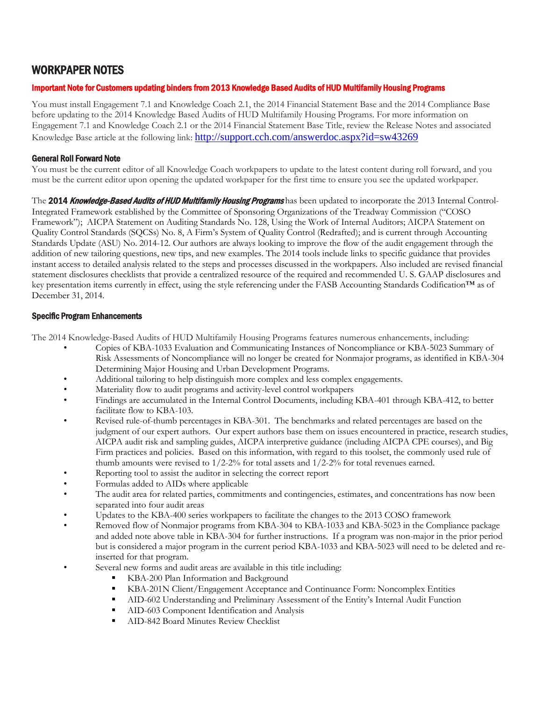# WORKPAPER NOTES

### Important Note for Customers updating binders from 2013 Knowledge Based Audits of HUD Multifamily Housing Programs

You must install Engagement 7.1 and Knowledge Coach 2.1, the 2014 Financial Statement Base and the 2014 Compliance Base before updating to the 2014 Knowledge Based Audits of HUD Multifamily Housing Programs. For more information on Engagement 7.1 and Knowledge Coach 2.1 or the 2014 Financial Statement Base Title, review the Release Notes and associated Knowledge Base article at the following link: <http://support.cch.com/answerdoc.aspx?id=sw43269>

#### General Roll Forward Note

You must be the current editor of all Knowledge Coach workpapers to update to the latest content during roll forward, and you must be the current editor upon opening the updated workpaper for the first time to ensure you see the updated workpaper.

The 2014 Knowledge-Based Audits of HUD Multifamily Housing Programs has been updated to incorporate the 2013 Internal Control-Integrated Framework established by the Committee of Sponsoring Organizations of the Treadway Commission ("COSO Framework"); AICPA Statement on Auditing Standards No. 128, Using the Work of Internal Auditors; AICPA Statement on Quality Control Standards (SQCSs) No. 8, A Firm's System of Quality Control (Redrafted); and is current through Accounting Standards Update (ASU) No. 2014-12. Our authors are always looking to improve the flow of the audit engagement through the addition of new tailoring questions, new tips, and new examples. The 2014 tools include links to specific guidance that provides instant access to detailed analysis related to the steps and processes discussed in the workpapers. Also included are revised financial statement disclosures checklists that provide a centralized resource of the required and recommended U. S. GAAP disclosures and key presentation items currently in effect, using the style referencing under the FASB Accounting Standards Codification™ as of December 31, 2014.

#### Specific Program Enhancements

The 2014 Knowledge-Based Audits of HUD Multifamily Housing Programs features numerous enhancements, including:

- Copies of KBA-1033 Evaluation and Communicating Instances of Noncompliance or KBA-5023 Summary of Risk Assessments of Noncompliance will no longer be created for Nonmajor programs, as identified in KBA-304 Determining Major Housing and Urban Development Programs.
- Additional tailoring to help distinguish more complex and less complex engagements.
- Materiality flow to audit programs and activity-level control workpapers
- Findings are accumulated in the Internal Control Documents, including KBA-401 through KBA-412, to better facilitate flow to KBA-103.
- Revised rule-of-thumb percentages in KBA-301. The benchmarks and related percentages are based on the judgment of our expert authors. Our expert authors base them on issues encountered in practice, research studies, AICPA audit risk and sampling guides, AICPA interpretive guidance (including AICPA CPE courses), and Big Firm practices and policies. Based on this information, with regard to this toolset, the commonly used rule of thumb amounts were revised to 1/2-2% for total assets and 1/2-2% for total revenues earned.
- Reporting tool to assist the auditor in selecting the correct report
- Formulas added to AIDs where applicable
- The audit area for related parties, commitments and contingencies, estimates, and concentrations has now been separated into four audit areas
- Updates to the KBA-400 series workpapers to facilitate the changes to the 2013 COSO framework
- Removed flow of Nonmajor programs from KBA-304 to KBA-1033 and KBA-5023 in the Compliance package and added note above table in KBA-304 for further instructions. If a program was non-major in the prior period but is considered a major program in the current period KBA-1033 and KBA-5023 will need to be deleted and reinserted for that program.
- Several new forms and audit areas are available in this title including:
	- KBA-200 Plan Information and Background
	- KBA-201N Client/Engagement Acceptance and Continuance Form: Noncomplex Entities
	- AID-602 Understanding and Preliminary Assessment of the Entity's Internal Audit Function
	- AID-603 Component Identification and Analysis
	- **AID-842 Board Minutes Review Checklist**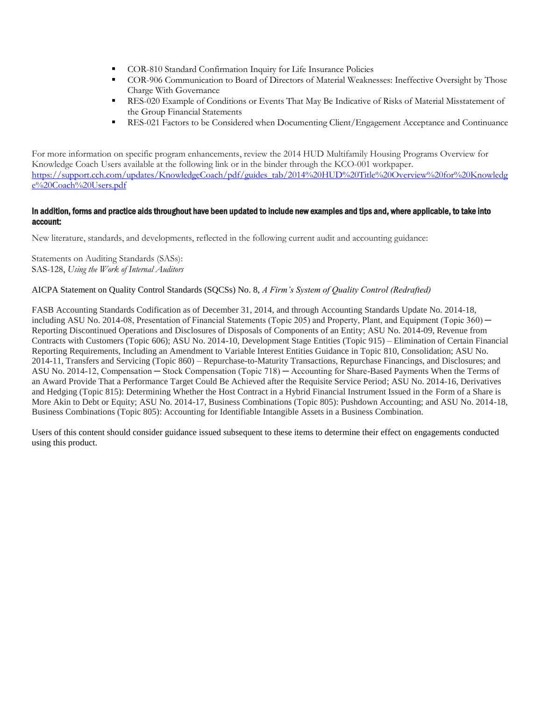- COR-810 Standard Confirmation Inquiry for Life Insurance Policies
- COR-906 Communication to Board of Directors of Material Weaknesses: Ineffective Oversight by Those Charge With Governance
- RES-020 Example of Conditions or Events That May Be Indicative of Risks of Material Misstatement of the Group Financial Statements
- RES-021 Factors to be Considered when Documenting Client/Engagement Acceptance and Continuance

For more information on specific program enhancements, review the 2014 HUD Multifamily Housing Programs Overview for Knowledge Coach Users available at the following link or in the binder through the KCO-001 workpaper. [https://support.cch.com/updates/KnowledgeCoach/pdf/guides\\_tab/2014%20HUD%20Title%20Overview%20for%20Knowledg](https://support.cch.com/updates/KnowledgeCoach/pdf/guides_tab/2014%20HUD%20Title%20Overview%20for%20Knowledge%20Coach%20Users.pdf) [e%20Coach%20Users.pdf](https://support.cch.com/updates/KnowledgeCoach/pdf/guides_tab/2014%20HUD%20Title%20Overview%20for%20Knowledge%20Coach%20Users.pdf)

#### In addition, forms and practice aids throughout have been updated to include new examples and tips and, where applicable, to take into account:

New literature, standards, and developments, reflected in the following current audit and accounting guidance:

Statements on Auditing Standards (SASs): SAS-128, *Using the Work of Internal Auditors*

#### AICPA Statement on Quality Control Standards (SQCSs) No. 8, *A Firm's System of Quality Control (Redrafted)*

FASB Accounting Standards Codification as of December 31, 2014, and through Accounting Standards Update No. 2014-18, including ASU No. 2014-08, Presentation of Financial Statements (Topic 205) and Property, Plant, and Equipment (Topic 360) — Reporting Discontinued Operations and Disclosures of Disposals of Components of an Entity; ASU No. 2014-09, Revenue from Contracts with Customers (Topic 606); ASU No. 2014-10, Development Stage Entities (Topic 915) – Elimination of Certain Financial Reporting Requirements, Including an Amendment to Variable Interest Entities Guidance in Topic 810, Consolidation; ASU No. 2014-11, Transfers and Servicing (Topic 860) – Repurchase-to-Maturity Transactions, Repurchase Financings, and Disclosures; and ASU No. 2014-12, Compensation ─ Stock Compensation (Topic 718) ─ Accounting for Share-Based Payments When the Terms of an Award Provide That a Performance Target Could Be Achieved after the Requisite Service Period; ASU No. 2014-16, Derivatives and Hedging (Topic 815): Determining Whether the Host Contract in a Hybrid Financial Instrument Issued in the Form of a Share is More Akin to Debt or Equity; ASU No. 2014-17, Business Combinations (Topic 805): Pushdown Accounting; and ASU No. 2014-18, Business Combinations (Topic 805): Accounting for Identifiable Intangible Assets in a Business Combination.

Users of this content should consider guidance issued subsequent to these items to determine their effect on engagements conducted using this product.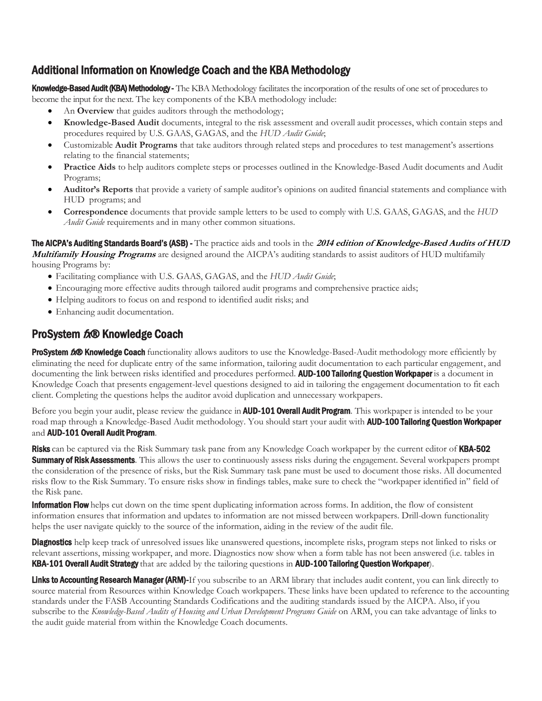# <span id="page-3-0"></span>Additional Information on Knowledge Coach and the KBA Methodology

Knowledge-Based Audit (KBA) Methodology - The KBA Methodology facilitates the incorporation of the results of one set of procedures to become the input for the next. The key components of the KBA methodology include:

- An **Overview** that guides auditors through the methodology;
- **Knowledge-Based Audit** documents, integral to the risk assessment and overall audit processes, which contain steps and procedures required by U.S. GAAS, GAGAS, and the *HUD Audit Guide*;
- Customizable **Audit Programs** that take auditors through related steps and procedures to test management's assertions relating to the financial statements;
- **Practice Aids** to help auditors complete steps or processes outlined in the Knowledge-Based Audit documents and Audit Programs;
- **Auditor's Reports** that provide a variety of sample auditor's opinions on audited financial statements and compliance with HUD programs; and
- **Correspondence** documents that provide sample letters to be used to comply with U.S. GAAS, GAGAS, and the *HUD Audit Guide* requirements and in many other common situations.

The AICPA's Auditing Standards Board's (ASB) - The practice aids and tools in the **2014 edition of Knowledge-Based Audits of HUD Multifamily Housing Programs** are designed around the AICPA's auditing standards to assist auditors of HUD multifamily housing Programs by:

- Facilitating compliance with U.S. GAAS, GAGAS, and the *HUD Audit Guide*;
- Encouraging more effective audits through tailored audit programs and comprehensive practice aids;
- Helping auditors to focus on and respond to identified audit risks; and
- Enhancing audit documentation.

# ProSystem  $f_x \otimes$  Knowledge Coach

**ProSystem 6.<sup>®</sup> Knowledge Coach** functionality allows auditors to use the Knowledge-Based-Audit methodology more efficiently by eliminating the need for duplicate entry of the same information, tailoring audit documentation to each particular engagement, and documenting the link between risks identified and procedures performed. AUD-100 Tailoring Question Workpaper is a document in Knowledge Coach that presents engagement-level questions designed to aid in tailoring the engagement documentation to fit each client. Completing the questions helps the auditor avoid duplication and unnecessary workpapers.

Before you begin your audit, please review the guidance in **AUD-101 Overall Audit Program**. This workpaper is intended to be your road map through a Knowledge-Based Audit methodology. You should start your audit with **AUD-100 Tailoring Question Workpaper** and AUD-101 Overall Audit Program.

Risks can be captured via the Risk Summary task pane from any Knowledge Coach workpaper by the current editor of KBA-502 **Summary of Risk Assessments**. This allows the user to continuously assess risks during the engagement. Several workpapers prompt the consideration of the presence of risks, but the Risk Summary task pane must be used to document those risks. All documented risks flow to the Risk Summary. To ensure risks show in findings tables, make sure to check the "workpaper identified in" field of the Risk pane.

**Information Flow** helps cut down on the time spent duplicating information across forms. In addition, the flow of consistent information ensures that information and updates to information are not missed between workpapers. Drill-down functionality helps the user navigate quickly to the source of the information, aiding in the review of the audit file.

**Diagnostics** help keep track of unresolved issues like unanswered questions, incomplete risks, program steps not linked to risks or relevant assertions, missing workpaper, and more. Diagnostics now show when a form table has not been answered (i.e. tables in KBA-101 Overall Audit Strategy that are added by the tailoring questions in AUD-100 Tailoring Question Workpaper).

Links to Accounting Research Manager (ARM)-If you subscribe to an ARM library that includes audit content, you can link directly to source material from Resources within Knowledge Coach workpapers. These links have been updated to reference to the accounting standards under the FASB Accounting Standards Codifications and the auditing standards issued by the AICPA. Also, if you subscribe to the *Knowledge-Based Audits of Housing and Urban Development Programs Guide* on ARM, you can take advantage of links to the audit guide material from within the Knowledge Coach documents.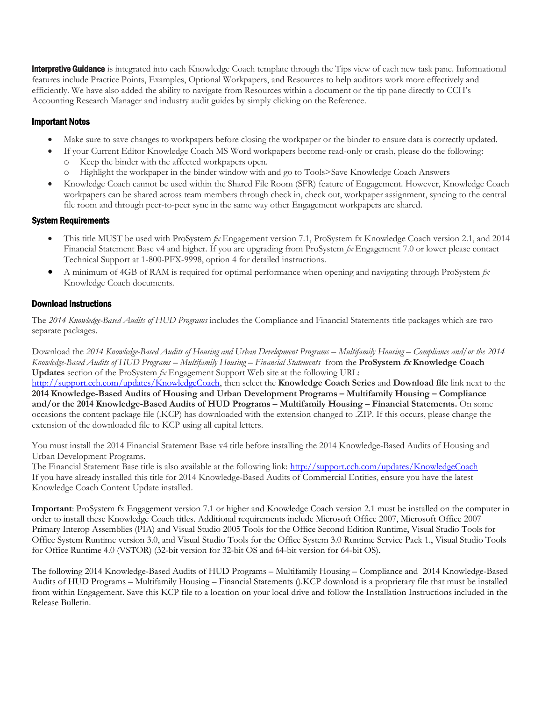**Interpretive Guidance** is integrated into each Knowledge Coach template through the Tips view of each new task pane. Informational features include Practice Points, Examples, Optional Workpapers, and Resources to help auditors work more effectively and efficiently. We have also added the ability to navigate from Resources within a document or the tip pane directly to CCH's Accounting Research Manager and industry audit guides by simply clicking on the Reference.

## Important Notes

- Make sure to save changes to workpapers before closing the workpaper or the binder to ensure data is correctly updated.
- If your Current Editor Knowledge Coach MS Word workpapers become read-only or crash, please do the following:
	- Keep the binder with the affected workpapers open.
	- o Highlight the workpaper in the binder window with and go to Tools>Save Knowledge Coach Answers
- Knowledge Coach cannot be used within the Shared File Room (SFR) feature of Engagement. However, Knowledge Coach workpapers can be shared across team members through check in, check out, workpaper assignment, syncing to the central file room and through peer-to-peer sync in the same way other Engagement workpapers are shared.

### System Requirements

- This title MUST be used with ProSystem *fx* Engagement version 7.1, ProSystem fx Knowledge Coach version 2.1, and 2014 Financial Statement Base v4 and higher. If you are upgrading from ProSystem *fx* Engagement 7.0 or lower please contact Technical Support at 1-800-PFX-9998, option 4 for detailed instructions.
- A minimum of 4GB of RAM is required for optimal performance when opening and navigating through ProSystem *fx*  Knowledge Coach documents.

## Download Instructions

The *2014 Knowledge-Based Audits of HUD Programs* includes the Compliance and Financial Statements title packages which are two separate packages.

Download the *2014 Knowledge-Based Audits of Housing and Urban Development Programs – Multifamily Housing – Compliance and/or the 2014 Knowledge-Based Audits of HUD Programs – Multifamily Housing – Financial Statements* from the **ProSystem fx Knowledge Coach Updates** section of the ProSystem *fx* Engagement Support Web site at the following URL: [http://support.cch.com/updates/KnowledgeCoach,](http://support.cch.com/updates/KnowledgeCoach) then select the **Knowledge Coach Series** and **Download file** link next to the **2014 Knowledge-Based Audits of Housing and Urban Development Programs – Multifamily Housing – Compliance and/or the 2014 Knowledge-Based Audits of HUD Programs – Multifamily Housing – Financial Statements.** On some occasions the content package file (.KCP) has downloaded with the extension changed to .ZIP. If this occurs, please change the extension of the downloaded file to KCP using all capital letters.

You must install the 2014 Financial Statement Base v4 title before installing the 2014 Knowledge-Based Audits of Housing and Urban Development Programs.

The Financial Statement Base title is also available at the following link:<http://support.cch.com/updates/KnowledgeCoach> If you have already installed this title for 2014 Knowledge-Based Audits of Commercial Entities, ensure you have the latest Knowledge Coach Content Update installed.

**Important**: ProSystem fx Engagement version 7.1 or higher and Knowledge Coach version 2.1 must be installed on the computer in order to install these Knowledge Coach titles. Additional requirements include Microsoft Office 2007, Microsoft Office 2007 Primary Interop Assemblies (PIA) and Visual Studio 2005 Tools for the Office Second Edition Runtime, Visual Studio Tools for Office System Runtime version 3.0, and Visual Studio Tools for the Office System 3.0 Runtime Service Pack 1., Visual Studio Tools for Office Runtime 4.0 (VSTOR) (32-bit version for 32-bit OS and 64-bit version for 64-bit OS).

The following 2014 Knowledge-Based Audits of HUD Programs – Multifamily Housing – Compliance and 2014 Knowledge-Based Audits of HUD Programs – Multifamily Housing – Financial Statements ().KCP download is a proprietary file that must be installed from within Engagement. Save this KCP file to a location on your local drive and follow the Installation Instructions included in the Release Bulletin.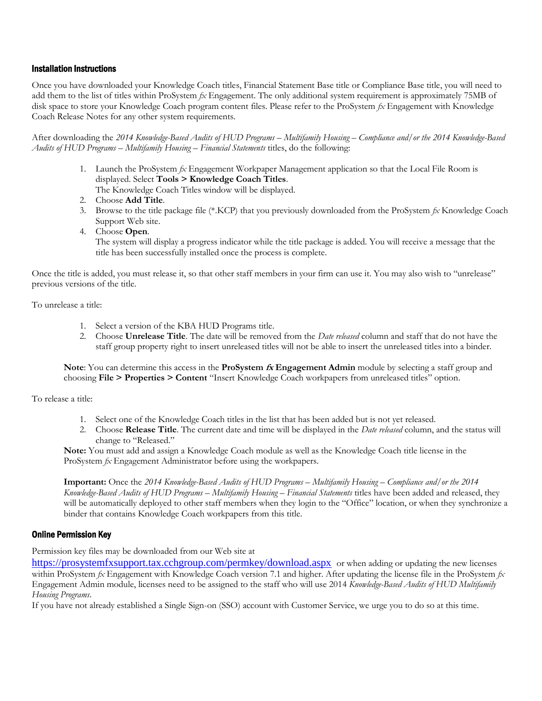#### Installation Instructions

Once you have downloaded your Knowledge Coach titles, Financial Statement Base title or Compliance Base title, you will need to add them to the list of titles within ProSystem *fx* Engagement. The only additional system requirement is approximately 75MB of disk space to store your Knowledge Coach program content files. Please refer to the ProSystem *fx* Engagement with Knowledge Coach Release Notes for any other system requirements.

After downloading the *2014 Knowledge-Based Audits of HUD Programs – Multifamily Housing – Compliance and/or the 2014 Knowledge-Based Audits of HUD Programs – Multifamily Housing – Financial Statements* titles, do the following:

- 1. Launch the ProSystem *fx* Engagement Workpaper Management application so that the Local File Room is displayed. Select **Tools > Knowledge Coach Titles**.
	- The Knowledge Coach Titles window will be displayed.
- 2. Choose **Add Title**.
- 3. Browse to the title package file (\*.KCP) that you previously downloaded from the ProSystem *fx* Knowledge Coach Support Web site.
- 4. Choose **Open**.

The system will display a progress indicator while the title package is added. You will receive a message that the title has been successfully installed once the process is complete.

Once the title is added, you must release it, so that other staff members in your firm can use it. You may also wish to "unrelease" previous versions of the title.

To unrelease a title:

- 1. Select a version of the KBA HUD Programs title.
- 2. Choose **Unrelease Title**. The date will be removed from the *Date released* column and staff that do not have the staff group property right to insert unreleased titles will not be able to insert the unreleased titles into a binder.

**Note**: You can determine this access in the **ProSystem fx Engagement Admin** module by selecting a staff group and choosing **File > Properties > Content** "Insert Knowledge Coach workpapers from unreleased titles" option.

To release a title:

- 1. Select one of the Knowledge Coach titles in the list that has been added but is not yet released.
- 2. Choose **Release Title**. The current date and time will be displayed in the *Date released* column, and the status will change to "Released."

**Note:** You must add and assign a Knowledge Coach module as well as the Knowledge Coach title license in the ProSystem *fx* Engagement Administrator before using the workpapers.

**Important:** Once the *2014 Knowledge-Based Audits of HUD Programs – Multifamily Housing – Compliance and/or the 2014 Knowledge-Based Audits of HUD Programs – Multifamily Housing – Financial Statements* titles have been added and released, they will be automatically deployed to other staff members when they login to the "Office" location, or when they synchronize a binder that contains Knowledge Coach workpapers from this title.

#### Online Permission Key

Permission key files may be downloaded from our Web site at

<https://prosystemfxsupport.tax.cchgroup.com/permkey/download.aspx> or when adding or updating the new licenses within ProSystem *fx* Engagement with Knowledge Coach version 7.1 and higher. After updating the license file in the ProSystem *fx*  Engagement Admin module, licenses need to be assigned to the staff who will use 2014 *Knowledge-Based Audits of HUD Multifamily Housing Programs*.

If you have not already established a Single Sign-on (SSO) account with Customer Service, we urge you to do so at this time.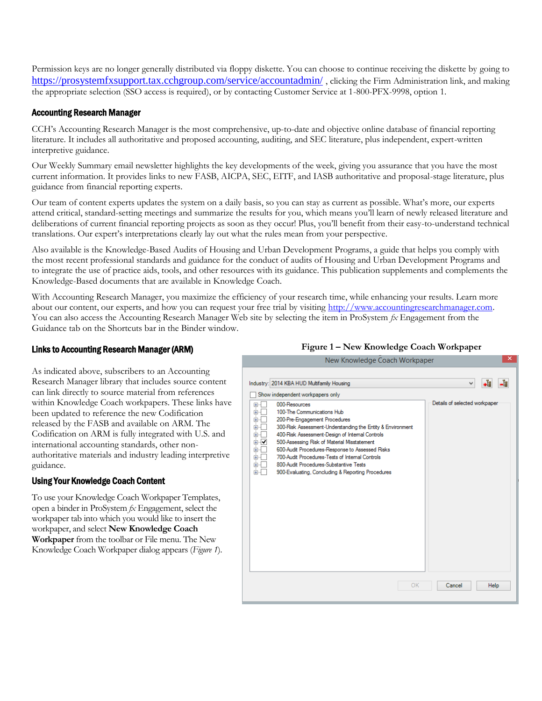Permission keys are no longer generally distributed via floppy diskette. You can choose to continue receiving the diskette by going to <https://prosystemfxsupport.tax.cchgroup.com/service/accountadmin/> , clicking the Firm Administration link, and making the appropriate selection (SSO access is required), or by contacting Customer Service at 1-800-PFX-9998, option 1.

# Accounting Research Manager

CCH's Accounting Research Manager is the most comprehensive, up-to-date and objective online database of financial reporting literature. It includes all authoritative and proposed accounting, auditing, and SEC literature, plus independent, expert-written interpretive guidance.

Our Weekly Summary email newsletter highlights the key developments of the week, giving you assurance that you have the most current information. It provides links to new FASB, AICPA, SEC, EITF, and IASB authoritative and proposal-stage literature, plus guidance from financial reporting experts.

Our team of content experts updates the system on a daily basis, so you can stay as current as possible. What's more, our experts attend critical, standard-setting meetings and summarize the results for you, which means you'll learn of newly released literature and deliberations of current financial reporting projects as soon as they occur! Plus, you'll benefit from their easy-to-understand technical translations. Our expert's interpretations clearly lay out what the rules mean from your perspective.

Also available is the Knowledge-Based Audits of Housing and Urban Development Programs, a guide that helps you comply with the most recent professional standards and guidance for the conduct of audits of Housing and Urban Development Programs and to integrate the use of practice aids, tools, and other resources with its guidance. This publication supplements and complements the Knowledge-Based documents that are available in Knowledge Coach.

With Accounting Research Manager, you maximize the efficiency of your research time, while enhancing your results. Learn more about our content, our experts, and how you can request your free trial by visiting http://www.accountingresearchmanager.com. You can also access the Accounting Research Manager Web site by selecting the item in ProSystem *fx* Engagement from the Guidance tab on the Shortcuts bar in the Binder window.

## Links to Accounting Research Manager (ARM)

As indicated above, subscribers to an Accounting Research Manager library that includes source content can link directly to source material from references within Knowledge Coach workpapers. These links have been updated to reference the new Codification released by the FASB and available on ARM. The Codification on ARM is fully integrated with U.S. and international accounting standards, other nonauthoritative materials and industry leading interpretive guidance.

### Using Your Knowledge Coach Content

To use your Knowledge Coach Workpaper Templates, open a binder in ProSystem *fx* Engagement, select the workpaper tab into which you would like to insert the workpaper, and select **New Knowledge Coach Workpaper** from the toolbar or File menu. The New Knowledge Coach Workpaper dialog appears (*Figure 1*).

### **Figure 1 – New Knowledge Coach Workpaper**

| INEW KNOWIEDDE COACH WORDADER                                                                                                                                                                                                                                                                                                                                                                                                                                                                                                                                                                       |                                    |            |
|-----------------------------------------------------------------------------------------------------------------------------------------------------------------------------------------------------------------------------------------------------------------------------------------------------------------------------------------------------------------------------------------------------------------------------------------------------------------------------------------------------------------------------------------------------------------------------------------------------|------------------------------------|------------|
| Industry: 2014 KBA HUD Multifamily Housing<br>Show independent workpapers only<br>000-Resources<br>田…<br>100-The Communications Hub<br>Ė<br>200-Pre-Engagement Procedures<br>Ė<br>300-Risk Assessment-Understanding the Entity & Environment<br>田<br>400-Risk Assessment-Design of Internal Controls<br>Ė<br>⊸<br>500-Assessing Risk of Material Misstatement<br>由<br>600-Audit Procedures-Response to Assessed Risks<br>Ė<br>700-Audit Procedures-Tests of Internal Controls<br>审<br>800-Audit Procedures-Substantive Tests<br>Ė<br><b>审…</b><br>900-Evaluating, Concluding & Reporting Procedures | ٧<br>Details of selected workpaper | ٠ŧ<br>-ট্র |
| OK                                                                                                                                                                                                                                                                                                                                                                                                                                                                                                                                                                                                  | Cancel                             | Help       |